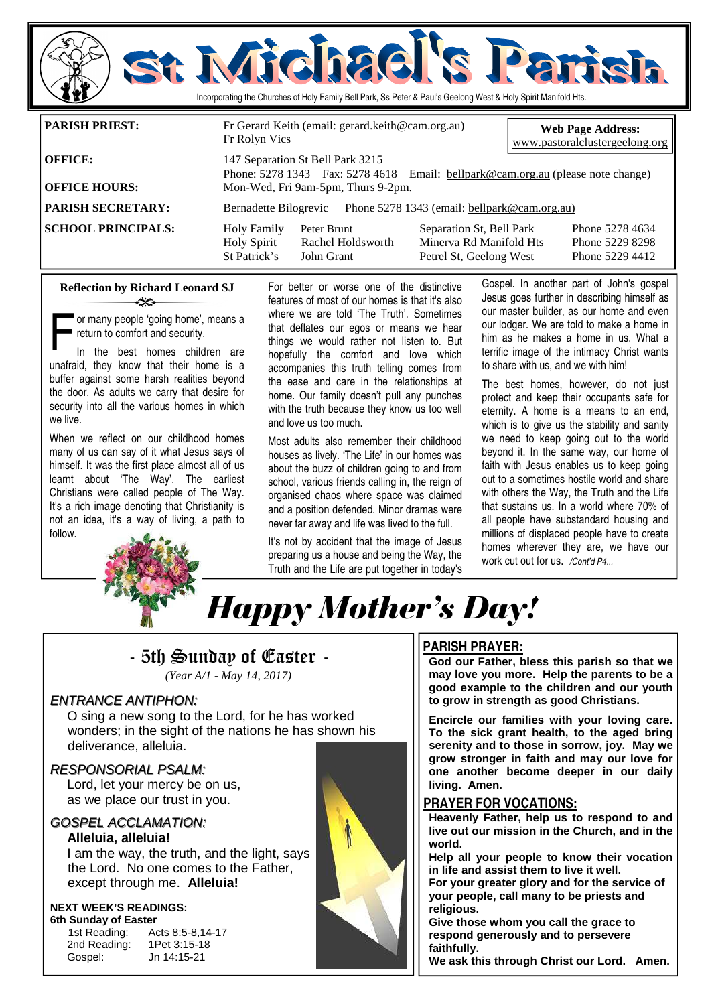

**OFFICE HOURS:** Mon-Wed, Fri 9am-5pm, Thurs 9-2pm.

**PARISH SECRETARY:** Bernadette Bilogrevic Phone 5278 1343 (email: bellpark@cam.org.au)

| <b>SCHOOL PRINCIPALS:</b> | Holy Family  | Peter Brunt       | Separation St, Bell Park | Phone 5278 4634 |
|---------------------------|--------------|-------------------|--------------------------|-----------------|
|                           | Holy Spirit  | Rachel Holdsworth | Minerva Rd Manifold Hts  | Phone 5229 8298 |
|                           | St Patrick's | John Grant        | Petrel St, Geelong West  | Phone 5229 4412 |
|                           |              |                   |                          |                 |

#### **Reflection by Richard Leonard SJ**  ببينته

F or many people 'going home', means a return to comfort and security.

In the best homes children are unafraid, they know that their home is a buffer against some harsh realities beyond the door. As adults we carry that desire for security into all the various homes in which we live.

When we reflect on our childhood homes many of us can say of it what Jesus says of himself. It was the first place almost all of us learnt about 'The Way'. The earliest Christians were called people of The Way. It's a rich image denoting that Christianity is not an idea, it's a way of living, a path to follow.

For better or worse one of the distinctive features of most of our homes is that it's also where we are told 'The Truth'. Sometimes that deflates our egos or means we hear things we would rather not listen to. But hopefully the comfort and love which accompanies this truth telling comes from the ease and care in the relationships at home. Our family doesn't pull any punches with the truth because they know us too well and love us too much.

Most adults also remember their childhood houses as lively. 'The Life' in our homes was about the buzz of children going to and from school, various friends calling in, the reign of organised chaos where space was claimed and a position defended. Minor dramas were never far away and life was lived to the full.

It's not by accident that the image of Jesus preparing us a house and being the Way, the Truth and the Life are put together in today's

Gospel. In another part of John's gospel Jesus goes further in describing himself as our master builder, as our home and even our lodger. We are told to make a home in him as he makes a home in us. What a terrific image of the intimacy Christ wants to share with us, and we with him!

The best homes, however, do not just protect and keep their occupants safe for eternity. A home is a means to an end, which is to give us the stability and sanity we need to keep going out to the world beyond it. In the same way, our home of faith with Jesus enables us to keep going out to a sometimes hostile world and share with others the Way, the Truth and the Life that sustains us. In a world where 70% of all people have substandard housing and millions of displaced people have to create homes wherever they are, we have our work cut out for us. */Cont'd P4...* 



## - 5th Sunday of Easter -

*(Year A/1 - May 14, 2017)* 

#### ENTRANCE ANTIPHON:

 O sing a new song to the Lord, for he has worked wonders; in the sight of the nations he has shown his deliverance, alleluia.

#### RESPONSORIAL PSALM:

 Lord, let your mercy be on us, as we place our trust in you.

### GOSPEL ACCLAMATION:

#### **Alleluia, alleluia!**

I am the way, the truth, and the light, says the Lord. No one comes to the Father, except through me. **Alleluia!** 

#### **NEXT WEEK'S READINGS:**

**6th Sunday of Easter** 

Acts 8:5-8.14-17 2nd Reading: 1Pet 3:15-18 Gospel: Jn 14:15-21



#### **PARISH PRAYER:**

**God our Father, bless this parish so that we may love you more. Help the parents to be a good example to the children and our youth to grow in strength as good Christians.** 

**Encircle our families with your loving care. To the sick grant health, to the aged bring serenity and to those in sorrow, joy. May we grow stronger in faith and may our love for one another become deeper in our daily living. Amen.** 

#### **PRAYER FOR VOCATIONS:**

**Heavenly Father, help us to respond to and live out our mission in the Church, and in the world.** 

**Help all your people to know their vocation in life and assist them to live it well.** 

**For your greater glory and for the service of your people, call many to be priests and religious.** 

**Give those whom you call the grace to respond generously and to persevere faithfully.** 

**We ask this through Christ our Lord. Amen.**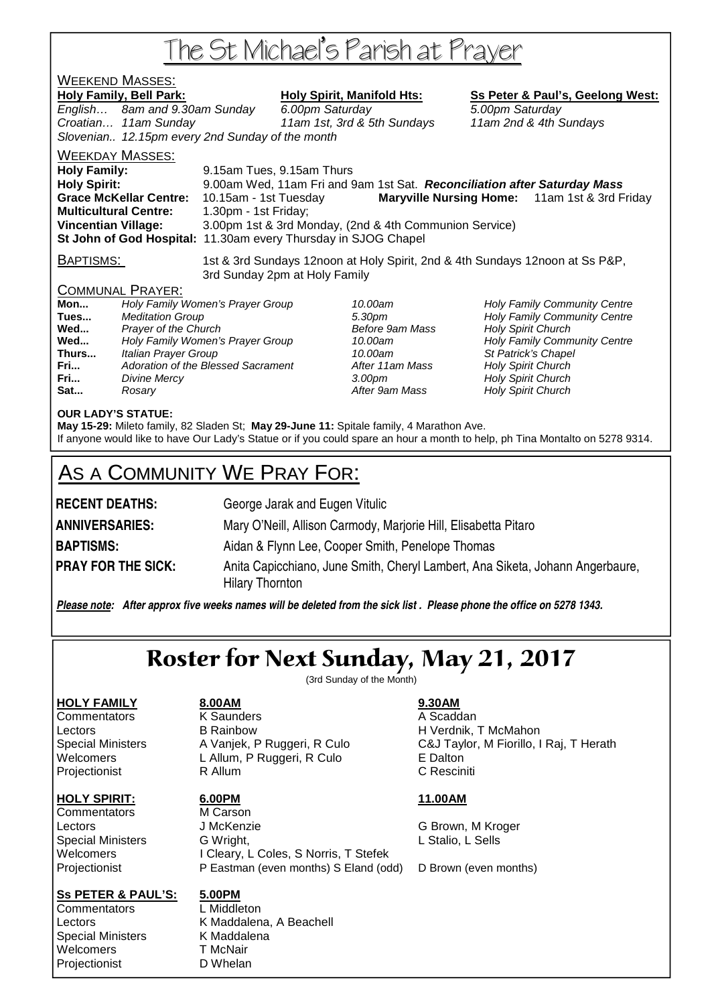# The St Michael's Parish at Prayer

### <u>WEEKEND MASSES:</u>

Holy Family, Bell Park: Holy Spirit, Manifold Hts: Ss Peter & Paul's, Geelong West: English… 8am and 9.30am Sunday 6.00pm Saturday 5.00pm Saturday Croatian… 11am Sunday 11am 1st, 3rd & 5th Sundays 11am 2nd & 4th Sundays Slovenian.. 12.15pm every 2nd Sunday of the month WEEKDAY MASSES:

**Holy Family:** 9.15am Tues, 9.15am Thurs **Holy Spirit:** 9.00am Wed, 11am Fri and 9am 1st Sat. **Reconciliation after Saturday Mass Grace McKellar Centre:** 10.15am - 1st Tuesday **Maryville Nursing Home:** 11am 1st & 3rd Friday **Multicultural Centre:** 1.30pm - 1st Friday; **Vincentian Village:** 3.00pm 1st & 3rd Monday, (2nd & 4th Communion Service) **St John of God Hospital:** 11.30am every Thursday in SJOG Chapel

BAPTISMS: 1st & 3rd Sundays 12noon at Holy Spirit, 2nd & 4th Sundays 12noon at Ss P&P, 3rd Sunday 2pm at Holy Family

#### COMMUNAL PRAYER:

| Holy Family Women's Prayer Group   |
|------------------------------------|
| <b>Meditation Group</b>            |
| Prayer of the Church               |
| Holy Family Women's Prayer Group   |
| Italian Prayer Group               |
| Adoration of the Blessed Sacrament |
| <b>Divine Mercy</b>                |
| Rosary                             |
|                                    |

10.00am **Holy Family Community Centre Tues 3.30pm Holy Family Community Centre Before 9am Mass Holy Spirit Church Before 9am Mass Holy Spirit Church** 10.00am **Holy Family Community Centre** 10.00am St Patrick's Chapel **After 11am Mass Holy Spirit Church Franch 3.00pm** Holy Spirit Church After 9am Mass **Holy Spirit Church** 

### **OUR LADY'S STATUE:**

**May 15-29:** Mileto family, 82 Sladen St; **May 29-June 11:** Spitale family, 4 Marathon Ave. If anyone would like to have Our Lady's Statue or if you could spare an hour a month to help, ph Tina Montalto on 5278 9314.

## AS A COMMUNITY WE PRAY FOR:

| <b>RECENT DEATHS:</b>     | George Jarak and Eugen Vitulic                                                                          |  |  |
|---------------------------|---------------------------------------------------------------------------------------------------------|--|--|
| <b>ANNIVERSARIES:</b>     | Mary O'Neill, Allison Carmody, Marjorie Hill, Elisabetta Pitaro                                         |  |  |
| <b>BAPTISMS:</b>          | Aidan & Flynn Lee, Cooper Smith, Penelope Thomas                                                        |  |  |
| <b>PRAY FOR THE SICK:</b> | Anita Capicchiano, June Smith, Cheryl Lambert, Ana Siketa, Johann Angerbaure,<br><b>Hilary Thornton</b> |  |  |

*Please note: After approx five weeks names will be deleted from the sick list . Please phone the office on 5278 1343.*

# Roster for Next Sunday, May 21, 2017

(3rd Sunday of the Month)

#### **HOLY FAMILY 8.00AM 9.30AM**

#### **HOLY SPIRIT: 6.00PM 11.00AM**

Commentators M Carson

Commentators **K Saunders** A Scaddan Lectors B Rainbow H Verdnik, T McMahon Welcomers L Allum, P Ruggeri, R Culo E Dalton Projectionist **R** Allum **C Resciniti** 

Lectors **J McKenzie G Brown, M Kroger** Special Ministers G Wright, The Contract Contract C Wright, C Sells Welcomers I Cleary, L Coles, S Norris, T Stefek Projectionist P Eastman (even months) S Eland (odd) D Brown (even months)

#### **Ss PETER & PAUL'S: 5.00PM**

Commentators L Middleton Special Ministers K Maddalena Welcomers T McNair Projectionist D Whelan

Lectors **K Maddalena, A Beachell** 

Special Ministers A Vanjek, P Ruggeri, R Culo C&J Taylor, M Fiorillo, I Raj, T Herath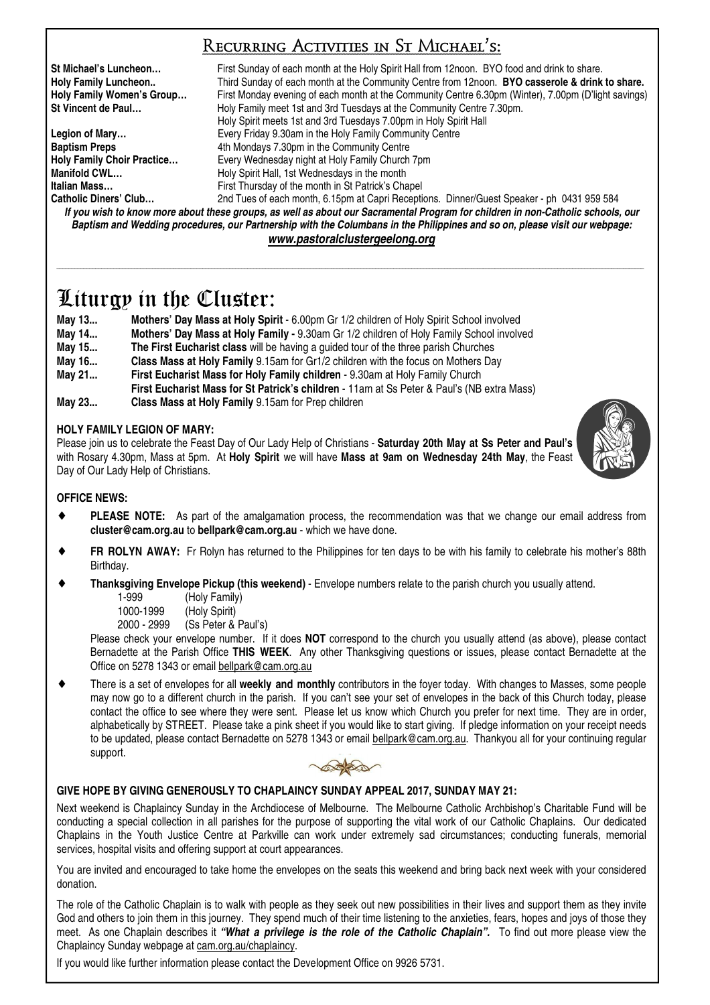### Recurring Activities in St Michael's:

**St Michael's Luncheon...** First Sunday of each month at the Holy Spirit Hall from 12noon. BYO food and drink to share.<br> **Holy Family Luncheon..** Third Sunday of each month at the Community Centre from 12noon. **BYO cassero** Holy Family Luncheon.. **Third Sunday of each month at the Community Centre from 12noon. <b>BYO casserole & drink to share.**<br>Holy Family Women's Group... First Monday evening of each month at the Community Centre 6.30pm (Wint First Monday evening of each month at the Community Centre 6.30pm (Winter), 7.00pm (D'light savings) **St Vincent de Paul…** Holy Family meet 1st and 3rd Tuesdays at the Community Centre 7.30pm. Holy Spirit meets 1st and 3rd Tuesdays 7.00pm in Holy Spirit Hall **Legion of Mary…** Every Friday 9.30am in the Holy Family Community Centre **Baptism Preps** <br> **Holy Family Choir Practice... Ath Mondays 7.30pm in the Community Centre Holy Family Church Holy Family Choir Practice…** Every Wednesday night at Holy Family Church 7pm **Manifold CWL... Holy Spirit Hall, 1st Wednesdays in the month Italian Mass…** First Thursday of the month in St Patrick's Chapel 2nd Tues of each month, 6.15pm at Capri Receptions. Dinner/Guest Speaker - ph 0431 959 584

*If you wish to know more about these groups, as well as about our Sacramental Program for children in non-Catholic schools, our Baptism and Wedding procedures, our Partnership with the Columbans in the Philippines and so on, please visit our webpage: www.pastoralclustergeelong.org*

\_\_\_\_\_\_\_\_\_\_\_\_\_\_\_\_\_\_\_\_\_\_\_\_\_\_\_\_\_\_\_\_\_\_\_\_\_\_\_\_\_\_\_\_\_\_\_\_\_\_\_\_\_\_\_\_\_\_\_\_\_\_\_\_\_\_\_\_\_\_\_\_\_\_\_\_\_\_\_\_\_\_\_\_\_\_\_\_\_\_\_\_\_\_\_\_\_\_\_\_\_\_\_\_\_\_\_\_\_\_\_\_\_\_\_\_\_\_\_\_\_\_\_\_\_\_\_\_\_\_\_\_\_\_\_\_\_\_\_\_\_\_\_\_\_\_\_\_\_\_\_\_\_\_\_\_\_\_\_\_\_\_\_\_\_\_\_\_\_\_\_\_\_\_\_\_\_\_\_\_\_\_\_\_\_\_\_\_\_\_\_\_\_\_\_\_\_

## Liturgy in the Cluster:

- **May 13... Mothers' Day Mass at Holy Spirit** 6.00pm Gr 1/2 children of Holy Spirit School involved **May 14... Mothers' Day Mass at Holy Family -** 9.30am Gr 1/2 children of Holy Family School involved **May 15... The First Eucharist class** will be having a guided tour of the three parish Churches **Class Mass at Holy Family** 9.15am for Gr1/2 children with the focus on Mothers Day **May 21... First Eucharist Mass for Holy Family children** - 9.30am at Holy Family Church
- **First Eucharist Mass for St Patrick's children**  11am at Ss Peter & Paul's (NB extra Mass) **May 23... Class Mass at Holy Family** 9.15am for Prep children

#### **HOLY FAMILY LEGION OF MARY:**

Please join us to celebrate the Feast Day of Our Lady Help of Christians - **Saturday 20th May at Ss Peter and Paul's** with Rosary 4.30pm, Mass at 5pm. At **Holy Spirit** we will have **Mass at 9am on Wednesday 24th May**, the Feast Day of Our Lady Help of Christians.



#### **OFFICE NEWS:**

- ♦ **PLEASE NOTE:** As part of the amalgamation process, the recommendation was that we change our email address from **cluster@cam.org.au** to **bellpark@cam.org.au** - which we have done.
- **FR ROLYN AWAY:** Fr Rolyn has returned to the Philippines for ten days to be with his family to celebrate his mother's 88th Birthday.
- **Thanksgiving Envelope Pickup (this weekend)** Envelope numbers relate to the parish church you usually attend.
	- 1-999 (Holy Family)<br>1000-1999 (Holy Spirit)
	- (Holy Spirit)
	- 2000 2999 (Ss Peter & Paul's)

 Please check your envelope number. If it does **NOT** correspond to the church you usually attend (as above), please contact Bernadette at the Parish Office **THIS WEEK**. Any other Thanksgiving questions or issues, please contact Bernadette at the Office on 5278 1343 or email bellpark@cam.org.au

There is a set of envelopes for all **weekly and monthly** contributors in the foyer today. With changes to Masses, some people may now go to a different church in the parish. If you can't see your set of envelopes in the back of this Church today, please contact the office to see where they were sent. Please let us know which Church you prefer for next time. They are in order, alphabetically by STREET. Please take a pink sheet if you would like to start giving. If pledge information on your receipt needs to be updated, please contact Bernadette on 5278 1343 or email bellpark@cam.org.au. Thankyou all for your continuing regular support.

#### **GIVE HOPE BY GIVING GENEROUSLY TO CHAPLAINCY SUNDAY APPEAL 2017, SUNDAY MAY 21:**

Next weekend is Chaplaincy Sunday in the Archdiocese of Melbourne. The Melbourne Catholic Archbishop's Charitable Fund will be conducting a special collection in all parishes for the purpose of supporting the vital work of our Catholic Chaplains. Our dedicated Chaplains in the Youth Justice Centre at Parkville can work under extremely sad circumstances; conducting funerals, memorial services, hospital visits and offering support at court appearances.

You are invited and encouraged to take home the envelopes on the seats this weekend and bring back next week with your considered donation.

The role of the Catholic Chaplain is to walk with people as they seek out new possibilities in their lives and support them as they invite God and others to join them in this journey. They spend much of their time listening to the anxieties, fears, hopes and joys of those they meet. As one Chaplain describes it *"What a privilege is the role of the Catholic Chaplain".* To find out more please view the Chaplaincy Sunday webpage at cam.org.au/chaplaincy.

If you would like further information please contact the Development Office on 9926 5731.